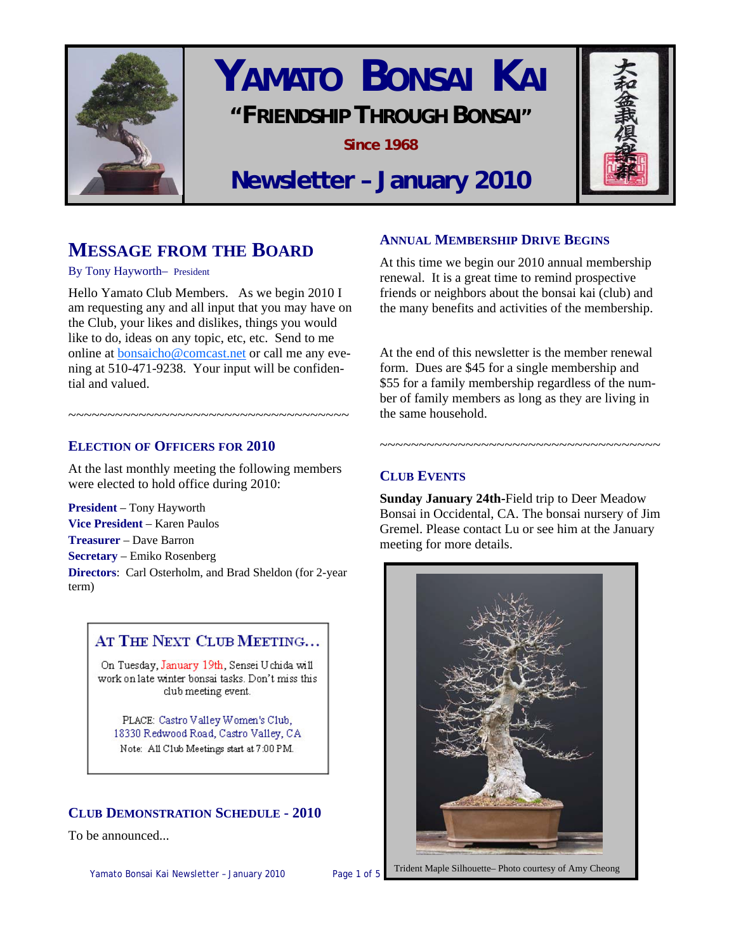

# **YAMATO BONSAI KAI "FRIENDSHIP THROUGH BONSAI"**

**Since 1968** 



# **Newsletter – January 2010**

# **MESSAGE FROM THE BOARD**

By Tony Hayworth– President

Hello Yamato Club Members. As we begin 2010 I am requesting any and all input that you may have on the Club, your likes and dislikes, things you would like to do, ideas on any topic, etc, etc. Send to me online at [bonsaicho@comcast.net](mailto:bonsaicho@comcast.net) or call me any evening at 510-471-9238. Your input will be confidential and valued.

## **ELECTION OF OFFICERS FOR 2010**

At the last monthly meeting the following members were elected to hold office during 2010:

~~~~~~~~~~~~~~~~~~~~~~~~~~~~~~~~~~~~

**President** – Tony Hayworth **Vice President** – Karen Paulos **Treasurer** – Dave Barron **Secretary** – Emiko Rosenberg **Directors**: Carl Osterholm, and Brad Sheldon (for 2-year term)

# AT THE NEXT CLUB MEETING...

On Tuesday, January 19th, Sensei Uchida will work on late winter bonsai tasks. Don't miss this club meeting event.

PLACE: Castro Valley Women's Club, 18330 Redwood Road, Castro Valley, CA Note: All Club Meetings start at 7:00 PM.

# **CLUB DEMONSTRATION SCHEDULE - 2010**

To be announced...

Yamato Bonsai Kai Newsletter - January 2010 Page 1 of 5

# **ANNUAL MEMBERSHIP DRIVE BEGINS**

At this time we begin our 2010 annual membership renewal. It is a great time to remind prospective friends or neighbors about the bonsai kai (club) and the many benefits and activities of the membership.

At the end of this newsletter is the member renewal form. Dues are \$45 for a single membership and \$55 for a family membership regardless of the number of family members as long as they are living in the same household.

~~~~~~~~~~~~~~~~~~~~~~~~~~~~~~~~~~~~

# **CLUB EVENTS**

**Sunday January 24th-**Field trip to Deer Meadow Bonsai in Occidental, CA. The bonsai nursery of Jim Gremel. Please contact Lu or see him at the January meeting for more details.



Trident Maple Silhouette– Photo courtesy of Amy Cheong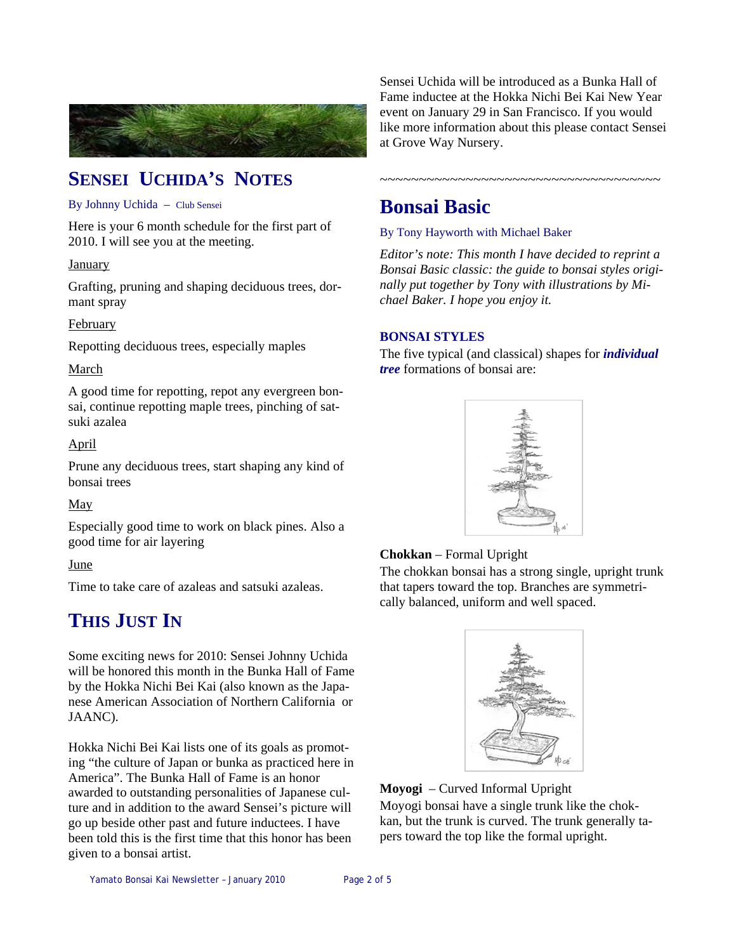

# **SENSEI UCHIDA'S NOTES**

#### By Johnny Uchida – Club Sensei

Here is your 6 month schedule for the first part of 2010. I will see you at the meeting.

### January

Grafting, pruning and shaping deciduous trees, dormant spray

### February

Repotting deciduous trees, especially maples

### March

A good time for repotting, repot any evergreen bonsai, continue repotting maple trees, pinching of satsuki azalea

### April

Prune any deciduous trees, start shaping any kind of bonsai trees

### May

Especially good time to work on black pines. Also a good time for air layering

### June

Time to take care of azaleas and satsuki azaleas.

# **THIS JUST IN**

Some exciting news for 2010: Sensei Johnny Uchida will be honored this month in the Bunka Hall of Fame by the Hokka Nichi Bei Kai (also known as the Japanese American Association of Northern California or JAANC).

Hokka Nichi Bei Kai lists one of its goals as promoting "the culture of Japan or bunka as practiced here in America". The Bunka Hall of Fame is an honor awarded to outstanding personalities of Japanese culture and in addition to the award Sensei's picture will go up beside other past and future inductees. I have been told this is the first time that this honor has been given to a bonsai artist.

Sensei Uchida will be introduced as a Bunka Hall of Fame inductee at the Hokka Nichi Bei Kai New Year event on January 29 in San Francisco. If you would like more information about this please contact Sensei at Grove Way Nursery.

~~~~~~~~~~~~~~~~~~~~~~~~~~~~~~~~~~~~

# **Bonsai Basic**

By Tony Hayworth with Michael Baker

*Editor's note: This month I have decided to reprint a Bonsai Basic classic: the guide to bonsai styles originally put together by Tony with illustrations by Michael Baker. I hope you enjoy it.* 

### **BONSAI STYLES**

The five typical (and classical) shapes for *individual tree* formations of bonsai are:



### **Chokkan** – Formal Upright

The chokkan bonsai has a strong single, upright trunk that tapers toward the top. Branches are symmetrically balanced, uniform and well spaced.



## **Moyogi** – Curved Informal Upright

Moyogi bonsai have a single trunk like the chokkan, but the trunk is curved. The trunk generally tapers toward the top like the formal upright.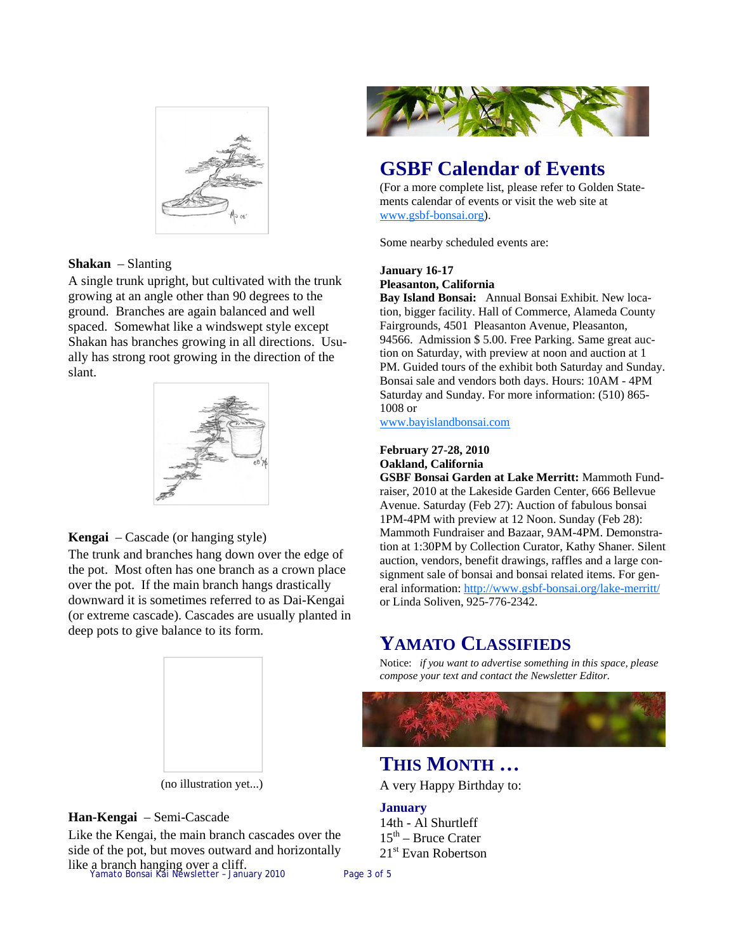

#### **Shakan** – Slanting

A single trunk upright, but cultivated with the trunk growing at an angle other than 90 degrees to the ground. Branches are again balanced and well spaced. Somewhat like a windswept style except Shakan has branches growing in all directions. Usually has strong root growing in the direction of the slant.



### **Kengai** – Cascade (or hanging style)

The trunk and branches hang down over the edge of the pot. Most often has one branch as a crown place over the pot. If the main branch hangs drastically downward it is sometimes referred to as Dai-Kengai (or extreme cascade). Cascades are usually planted in deep pots to give balance to its form.



(no illustration yet...)

### **Han-Kengai** – Semi-Cascade

like a branch hanging over a cliff.<br>Yamato Bonsai Kai Newsletter - January 2010 Page 3 of 5 Like the Kengai, the main branch cascades over the side of the pot, but moves outward and horizontally



# **GSBF Calendar of Events**

(For a more complete list, please refer to Golden Statements calendar of events or visit the web site at [www.gsbf-bonsai.org](http://www.gsbf-bonsai.org)).

Some nearby scheduled events are:

#### **January 16-17**

#### **Pleasanton, California**

**Bay Island Bonsai:** Annual Bonsai Exhibit. New location, bigger facility. Hall of Commerce, Alameda County Fairgrounds, 4501 Pleasanton Avenue, Pleasanton, 94566. Admission \$ 5.00. Free Parking. Same great auction on Saturday, with preview at noon and auction at 1 PM. Guided tours of the exhibit both Saturday and Sunday. Bonsai sale and vendors both days. Hours: 10AM - 4PM Saturday and Sunday. For more information: (510) 865- 1008 or

[www.bayislandbonsai.com](http://www.bayislandbonsai.com)

#### **February 27-28, 2010 Oakland, California**

**GSBF Bonsai Garden at Lake Merritt:** Mammoth Fundraiser, 2010 at the Lakeside Garden Center, 666 Bellevue Avenue. Saturday (Feb 27): Auction of fabulous bonsai 1PM-4PM with preview at 12 Noon. Sunday (Feb 28): Mammoth Fundraiser and Bazaar, 9AM-4PM. Demonstration at 1:30PM by Collection Curator, Kathy Shaner. Silent auction, vendors, benefit drawings, raffles and a large consignment sale of bonsai and bonsai related items. For general information: <http://www.gsbf-bonsai.org/lake-merritt/> or Linda Soliven, 925-776-2342.

# **YAMATO CLASSIFIEDS**

Notice: *if you want to advertise something in this space, please compose your text and contact the Newsletter Editor.* 



# **THIS MONTH …**

A very Happy Birthday to:

#### **January**

14th - Al Shurtleff  $15<sup>th</sup>$  – Bruce Crater 21<sup>st</sup> Evan Robertson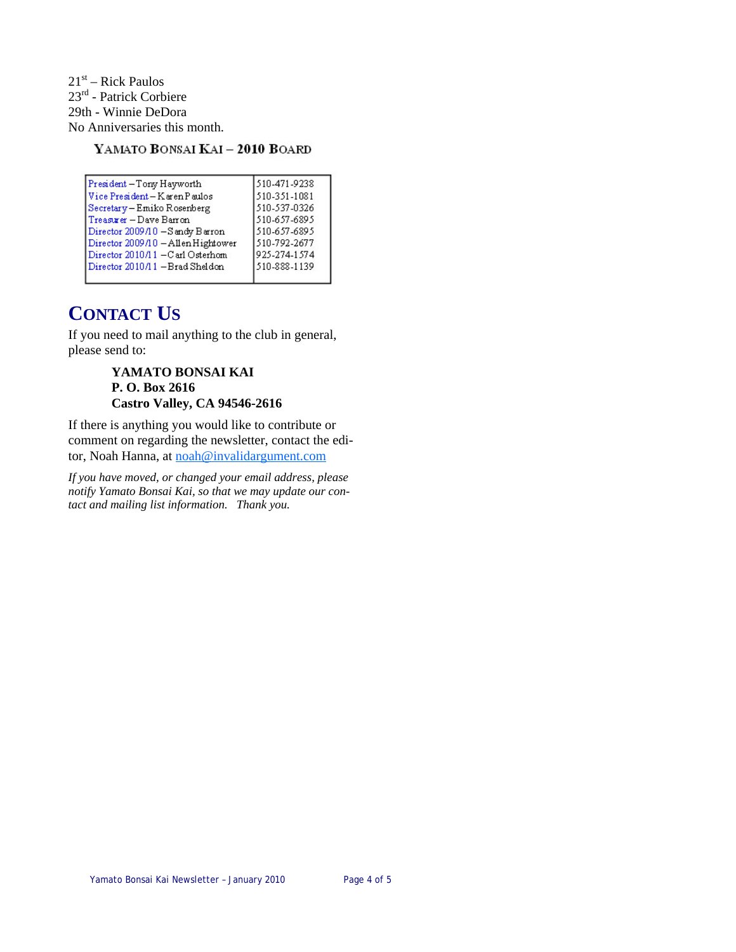$21<sup>st</sup>$  – Rick Paulos 23<sup>rd</sup> - Patrick Corbiere 29th - Winnie DeDora No Anniversaries this month.

YAMATO BONSAI KAI - 2010 BOARD

| President-Tony Hayworth            | 510-471-9238 |
|------------------------------------|--------------|
| Vice President-Karen Paulos        | 510-351-1081 |
| Secretary-Emiko Rosenberg          | 510-537-0326 |
| Treasurer - Dave Barron            | 510-657-6895 |
| Director 2009/10 - Sandy Barron    | 510-657-6895 |
| Director 2009/10 - Allen Hightower | 510-792-2677 |
| Director 2010/11 - Carl Osterhom   | 925-274-1574 |
| Director 2010/11 - Brad Sheldon    | 510-888-1139 |
|                                    |              |

# **CONTACT US**

If you need to mail anything to the club in general, please send to:

# **YAMATO BONSAI KAI P. O. Box 2616 Castro Valley, CA 94546-2616**

If there is anything you would like to contribute or comment on regarding the newsletter, contact the editor, Noah Hanna, at [noah@invalidargument.com](mailto:noah@invalidargument.com) 

*If you have moved, or changed your email address, please notify Yamato Bonsai Kai, so that we may update our contact and mailing list information. Thank you.*